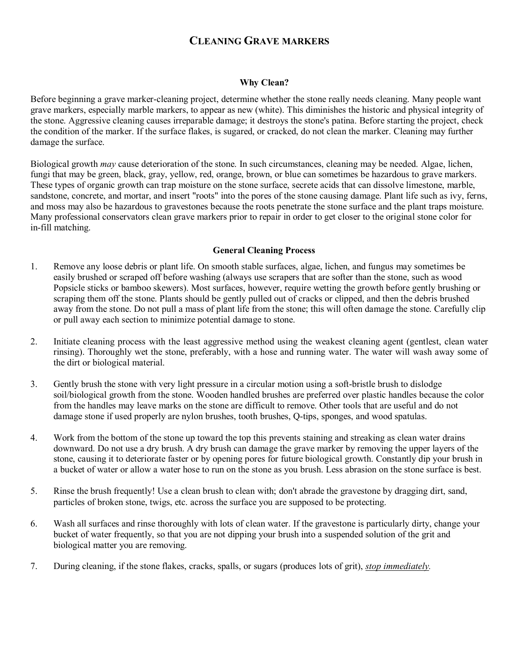# **CLEANING GRAVE MARKERS**

#### **Why Clean?**

Before beginning a grave marker-cleaning project, determine whether the stone really needs cleaning. Many people want grave markers, especially marble markers, to appear as new (white). This diminishes the historic and physical integrity of the stone. Aggressive cleaning causes irreparable damage; it destroys the stone's patina. Before starting the project, check the condition of the marker. If the surface flakes, is sugared, or cracked, do not clean the marker. Cleaning may further damage the surface.

Biological growth *may* cause deterioration of the stone. In such circumstances, cleaning may be needed. Algae, lichen, fungi that may be green, black, gray, yellow, red, orange, brown, or blue can sometimes be hazardous to grave markers. These types of organic growth can trap moisture on the stone surface, secrete acids that can dissolve limestone, marble, sandstone, concrete, and mortar, and insert "roots" into the pores of the stone causing damage. Plant life such as ivy, ferns, and moss may also be hazardous to gravestones because the roots penetrate the stone surface and the plant traps moisture. Many professional conservators clean grave markers prior to repair in order to get closer to the original stone color for in-fill matching.

#### **General Cleaning Process**

- 1. Remove any loose debris or plant life. On smooth stable surfaces, algae, lichen, and fungus may sometimes be easily brushed or scraped off before washing (always use scrapers that are softer than the stone, such as wood Popsicle sticks or bamboo skewers). Most surfaces, however, require wetting the growth before gently brushing or scraping them off the stone. Plants should be gently pulled out of cracks or clipped, and then the debris brushed away from the stone. Do not pull a mass of plant life from the stone; this will often damage the stone. Carefully clip or pull away each section to minimize potential damage to stone.
- 2. Initiate cleaning process with the least aggressive method using the weakest cleaning agent (gentlest, clean water rinsing). Thoroughly wet the stone, preferably, with a hose and running water. The water will wash away some of the dirt or biological material.
- 3. Gently brush the stone with very light pressure in a circular motion using a soft-bristle brush to dislodge soil/biological growth from the stone. Wooden handled brushes are preferred over plastic handles because the color from the handles may leave marks on the stone are difficult to remove. Other tools that are useful and do not damage stone if used properly are nylon brushes, tooth brushes, Q-tips, sponges, and wood spatulas.
- 4. Work from the bottom of the stone up toward the top this prevents staining and streaking as clean water drains downward. Do not use a dry brush. A dry brush can damage the grave marker by removing the upper layers of the stone, causing it to deteriorate faster or by opening pores for future biological growth. Constantly dip your brush in a bucket of water or allow a water hose to run on the stone as you brush. Less abrasion on the stone surface is best.
- 5. Rinse the brush frequently! Use a clean brush to clean with; don't abrade the gravestone by dragging dirt, sand, particles of broken stone, twigs, etc. across the surface you are supposed to be protecting.
- 6. Wash all surfaces and rinse thoroughly with lots of clean water. If the gravestone is particularly dirty, change your bucket of water frequently, so that you are not dipping your brush into a suspended solution of the grit and biological matter you are removing.
- 7. During cleaning, if the stone flakes, cracks, spalls, or sugars (produces lots of grit), *stop immediately.*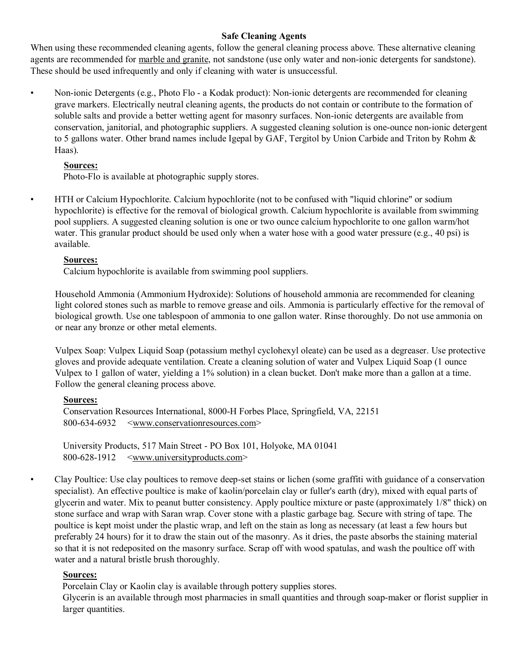## **Safe Cleaning Agents**

When using these recommended cleaning agents, follow the general cleaning process above. These alternative cleaning agents are recommended for marble and granite, not sandstone (use only water and non-ionic detergents for sandstone). These should be used infrequently and only if cleaning with water is unsuccessful.

• Non-ionic Detergents (e.g., Photo Flo - a Kodak product): Non-ionic detergents are recommended for cleaning grave markers. Electrically neutral cleaning agents, the products do not contain or contribute to the formation of soluble salts and provide a better wetting agent for masonry surfaces. Non-ionic detergents are available from conservation, janitorial, and photographic suppliers. A suggested cleaning solution is one-ounce non-ionic detergent to 5 gallons water. Other brand names include Igepal by GAF, Tergitol by Union Carbide and Triton by Rohm & Haas).

## **Sources:**

Photo-Flo is available at photographic supply stores.

• HTH or Calcium Hypochlorite. Calcium hypochlorite (not to be confused with "liquid chlorine" or sodium hypochlorite) is effective for the removal of biological growth. Calcium hypochlorite is available from swimming pool suppliers. A suggested cleaning solution is one or two ounce calcium hypochlorite to one gallon warm/hot water. This granular product should be used only when a water hose with a good water pressure (e.g., 40 psi) is available.

## **Sources:**

Calcium hypochlorite is available from swimming pool suppliers.

Household Ammonia (Ammonium Hydroxide): Solutions of household ammonia are recommended for cleaning light colored stones such as marble to remove grease and oils. Ammonia is particularly effective for the removal of biological growth. Use one tablespoon of ammonia to one gallon water. Rinse thoroughly. Do not use ammonia on or near any bronze or other metal elements.

Vulpex Soap: Vulpex Liquid Soap (potassium methyl cyclohexyl oleate) can be used as a degreaser. Use protective gloves and provide adequate ventilation. Create a cleaning solution of water and Vulpex Liquid Soap (1 ounce Vulpex to 1 gallon of water, yielding a 1% solution) in a clean bucket. Don't make more than a gallon at a time. Follow the general cleaning process above.

## **Sources:**

```
Conservation Resources International, 8000-H Forbes Place, Springfield, VA, 22151 
800-634-6932 <www.conservationresources.com>
```
University Products, 517 Main Street - PO Box 101, Holyoke, MA 01041 800-628-1912 <www.universityproducts.com>

• Clay Poultice: Use clay poultices to remove deep-set stains or lichen (some graffiti with guidance of a conservation specialist). An effective poultice is make of kaolin/porcelain clay or fuller's earth (dry), mixed with equal parts of glycerin and water. Mix to peanut butter consistency. Apply poultice mixture or paste (approximately 1/8" thick) on stone surface and wrap with Saran wrap. Cover stone with a plastic garbage bag. Secure with string of tape. The poultice is kept moist under the plastic wrap, and left on the stain as long as necessary (at least a few hours but preferably 24 hours) for it to draw the stain out of the masonry. As it dries, the paste absorbs the staining material so that it is not redeposited on the masonry surface. Scrap off with wood spatulas, and wash the poultice off with water and a natural bristle brush thoroughly.

#### **Sources:**

Porcelain Clay or Kaolin clay is available through pottery supplies stores.

Glycerin is an available through most pharmacies in small quantities and through soap-maker or florist supplier in larger quantities.